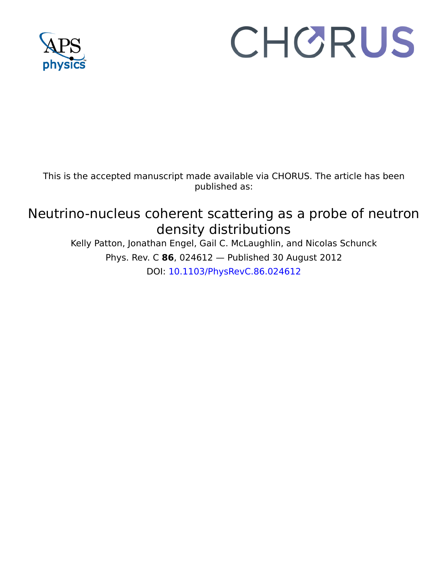

# CHORUS

This is the accepted manuscript made available via CHORUS. The article has been published as:

# Neutrino-nucleus coherent scattering as a probe of neutron density distributions

Kelly Patton, Jonathan Engel, Gail C. McLaughlin, and Nicolas Schunck Phys. Rev. C **86**, 024612 — Published 30 August 2012 DOI: [10.1103/PhysRevC.86.024612](http://dx.doi.org/10.1103/PhysRevC.86.024612)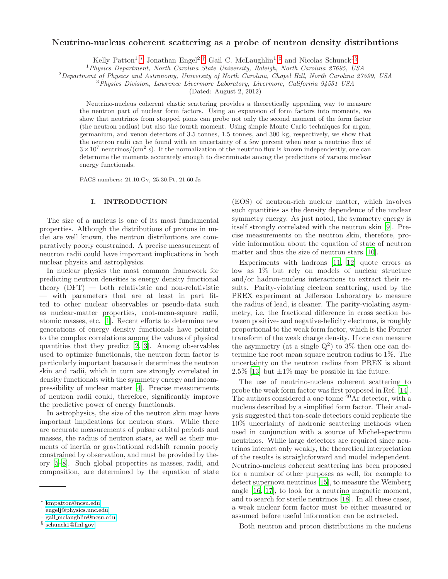# Neutrino-nucleus coherent scattering as a probe of neutron density distributions

Kelly Patton<sup>1</sup>,\* Jonathan Engel<sup>2</sup>,<sup>[†](#page-1-1)</sup> Gail C. McLaughlin<sup>1</sup>,<sup>[‡](#page-1-2)</sup> and Nicolas Schunck<sup>3[§](#page-1-3)</sup>

<sup>1</sup> Physics Department, North Carolina State University, Raleigh, North Carolina 27695, USA

<sup>2</sup>Department of Physics and Astronomy, University of North Carolina, Chapel Hill, North Carolina 27599, USA

 $3$ Physics Division, Lawrence Livermore Laboratory, Livermore, California 94551 USA

(Dated: August 2, 2012)

Neutrino-nucleus coherent elastic scattering provides a theoretically appealing way to measure the neutron part of nuclear form factors. Using an expansion of form factors into moments, we show that neutrinos from stopped pions can probe not only the second moment of the form factor (the neutron radius) but also the fourth moment. Using simple Monte Carlo techniques for argon, germanium, and xenon detectors of 3.5 tonnes, 1.5 tonnes, and 300 kg, respectively, we show that the neutron radii can be found with an uncertainty of a few percent when near a neutrino flux of  $3 \times 10^7$  neutrinos/(cm<sup>2</sup> s). If the normalization of the neutrino flux is known independently, one can determine the moments accurately enough to discriminate among the predictions of various nuclear energy functionals.

PACS numbers: 21.10.Gv, 25.30.Pt, 21.60.Jz

# I. INTRODUCTION

The size of a nucleus is one of its most fundamental properties. Although the distributions of protons in nuclei are well known, the neutron distributions are comparatively poorly constrained. A precise measurement of neutron radii could have important implications in both nuclear physics and astrophysics.

numbers: 21.10.Gv, 25.30.Pt, 21.60.Jz<br>
INTRODUCTION ([E](#page-10-1)OS) of neutron-ri<br>
such quantities as the<br>
such quantities as the distributions of protons in numbers: A<br>
such quantities as the measurements of the interpretation and 3.4 10 mentines/(cm<sup>3</sup> s). If<br>the normalization of the normalization of the energy functions of the<br>remine the moments accurately enough to discriminate among the predictions of various unclear<br>meter order of a mucheus 21 In nuclear physics the most common framework for predicting neutron densities is energy density functional theory  $(DFT)$  — both relativistic and non-relativistic — with parameters that are at least in part fitted to other nuclear observables or pseudo-data such as nuclear-matter properties, root-mean-square radii, atomic masses, etc. [1]. Recent efforts to determine new generations of energy density functionals have pointed to the complex correlations among the values of physical quantities that they predict [2, 3]. Among observables used to optimize functionals, the neutron form factor is particularly important because it determines the neutron skin and radii, which in turn are strongly correlated in density functionals with the symmetry energy and incompressibility of nuclear matter [4]. Precise measurements of neutron radii could, therefore, significantly improve the predictive power of energy functionals.

In astrophysics, the size of the neutron skin may have important implications for neutron stars. While there are accurate measurements of pulsar orbital periods and masses, the radius of neutron stars, as well as their moments of inertia or gravitational redshift remain poorly constrained by observation, and must be provided by theory [\[5](#page-10-4)[–8](#page-10-5)]. Such global properties as masses, radii, and composition, are determined by the equation of state

(EOS) of neutron-rich nuclear matter, which involves such quantities as the density dependence of the nuclear symmetry energy. As just noted, the symmetry energy is itself strongly correlated with the neutron skin [\[9](#page-10-6)]. Precise measurements on the neutron skin, therefore, provide information about the equation of state of neutron matter and thus the size of neutron stars [10].

Experiments with hadrons [11, 12] quote errors as low as 1% but rely on models of nuclear structure and/or hadron-nucleus interactions to extract their results. Parity-violating electron scattering, used by the PREX experiment at Jefferson Laboratory to measure the radius of lead, is cleaner. The parity-violating asymmetry, i.e. the fractional difference in cross section between positive- and negative-helicity electrons, is roughly proportional to the weak form factor, which is the Fourier transform of the weak charge density. If one can measure the asymmetry (at a single  $Q^2$ ) to 3% then one can determine the root mean square neutron radius to 1%. The uncertainty on the neutron radius from PREX is about  $2.5\%$  [13] but  $\pm 1\%$  may be possible in the future.

The use of neutrino-nucleus coherent scattering to probe the weak form factor was first proposed in Ref. [\[14\]](#page-10-11). The authors considered a one tonne <sup>40</sup>Ar detector, with a nucleus described by a simplified form factor. Their analysis suggested that ton-scale detectors could replicate the 10% uncertainty of hadronic scattering methods when used in conjunction with a source of Michel-spectrum neutrinos. While large detectors are required since neutrinos interact only weakly, the theoretical interpretation of the results is straightforward and model independent. Neutrino-nucleus coherent scattering has been proposed for a number of other purposes as well, for example to detect supernova neutrinos [\[15\]](#page-10-12), to measure the Weinberg angle [\[16](#page-10-13), [17\]](#page-10-14), to look for a neutrino magnetic moment, and to search for sterile neutrinos [\[18](#page-10-15)]. In all these cases, a weak nuclear form factor must be either measured or assumed before useful information can be extracted.

Both neutron and proton distributions in the nucleus

<span id="page-1-0"></span><sup>∗</sup> [kmpatton@ncsu.edu](mailto:kmpatton@ncsu.edu)

<span id="page-1-1"></span><sup>†</sup> [engelj@physics.unc.edu](mailto:engelj@physics.unc.edu)

<span id="page-1-2"></span><sup>‡</sup> gail [mclaughlin@ncsu.edu](mailto:gail$_$mclaughlin@ncsu.edu)

<span id="page-1-3"></span><sup>§</sup> [schunck1@llnl.gov](mailto:schunck1@llnl.gov)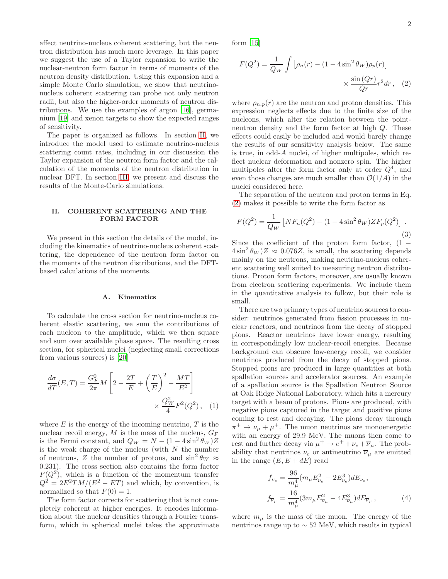affect neutrino-nucleus coherent scattering, but the neutron distribution has much more leverage. In this paper we suggest the use of a Taylor expansion to write the nuclear-neutron form factor in terms of moments of the neutron density distribution. Using this expansion and a simple Monte Carlo simulation, we show that neutrinonucleus coherent scattering can probe not only neutron radii, but also the higher-order moments of neutron distributions. We use the examples of argon [\[16](#page-10-13)], germanium [\[19\]](#page-10-16) and xenon targets to show the expected ranges of sensitivity.

The paper is organized as follows. In section [II,](#page-2-0) we introduce the model used to estimate neutrino-nucleus scattering count rates, including in our discussion the Taylor expansion of the neutron form factor and the calculation of the moments of the neutron distribution in nuclear DFT. In section [III,](#page-7-0) we present and discuss the results of the Monte-Carlo simulations.

## <span id="page-2-0"></span>II. COHERENT SCATTERING AND THE FORM FACTOR

We present in this section the details of the model, including the kinematics of neutrino-nucleus coherent scattering, the dependence of the neutron form factor on the moments of the neutron distributions, and the DFTbased calculations of the moments.

#### A. Kinematics

To calculate the cross section for neutrino-nucleus coherent elastic scattering, we sum the contributions of each nucleon to the amplitude, which we then square and sum over available phase space. The resulting cross section, for spherical nuclei (neglecting small corrections from various sources) is [\[20\]](#page-10-17)

$$
\frac{d\sigma}{dT}(E,T) = \frac{G_F^2}{2\pi}M\left[2 - \frac{2T}{E} + \left(\frac{T}{E}\right)^2 - \frac{MT}{E^2}\right] \times \frac{Q_W^2}{4}F^2(Q^2), \quad (1)
$$

where  $E$  is the energy of the incoming neutrino,  $T$  is the nuclear recoil energy,  $M$  is the mass of the nucleus,  $G_F$ is the Fermi constant, and  $Q_W = N - (1 - 4 \sin^2 \theta_W)Z$ is the weak charge of the nucleus (with  $N$  the number of neutrons, Z the number of protons, and  $\sin^2 \theta_W \approx$ 0.231). The cross section also contains the form factor  $F(Q^2)$ , which is a function of the momentum transfer  $Q^2 = 2E^2TM/(E^2 - ET)$  and which, by convention, is normalized so that  $F(0) = 1$ .

The form factor corrects for scattering that is not completely coherent at higher energies. It encodes information about the nuclear densities through a Fourier transform, which in spherical nuclei takes the approximate form [\[15](#page-10-12)]

<span id="page-2-1"></span>
$$
F(Q^2) = \frac{1}{Q_W} \int \left[ \rho_n(r) - (1 - 4\sin^2 \theta_W) \rho_p(r) \right]
$$

$$
\times \frac{\sin (Qr)}{Qr} r^2 dr , \quad (2)
$$

where  $\rho_{n,p}(r)$  are the neutron and proton densities. This expression neglects effects due to the finite size of the nucleons, which alter the relation between the pointneutron density and the form factor at high Q. These effects could easily be included and would barely change the results of our sensitivity analysis below. The same is true, in odd-A nuclei, of higher multipoles, which reflect nuclear deformation and nonzero spin. The higher multipoles alter the form factor only at order  $Q<sup>4</sup>$ , and even those changes are much smaller than  $\mathcal{O}(1/A)$  in the nuclei considered here.

The separation of the neutron and proton terms in Eq. [\(2\)](#page-2-1) makes it possible to write the form factor as

<span id="page-2-2"></span>
$$
F(Q^2) = \frac{1}{Q_W} \left[ N F_n(Q^2) - (1 - 4\sin^2 \theta_W) Z F_p(Q^2) \right].
$$
\n(3)

Since the coefficient of the proton form factor,  $(1 4\sin^2\theta_W$ ) $Z \approx 0.076Z$ , is small, the scattering depends mainly on the neutrons, making neutrino-nucleus coherent scattering well suited to measuring neutron distributions. Proton form factors, moreover, are usually known from electron scattering experiments. We include them in the quantitative analysis to follow, but their role is small.

There are two primary types of neutrino sources to consider: neutrinos generated from fission processes in nuclear reactors, and neutrinos from the decay of stopped pions. Reactor neutrinos have lower energy, resulting in correspondingly low nuclear-recoil energies. Because background can obscure low-energy recoil, we consider neutrinos produced from the decay of stopped pions. Stopped pions are produced in large quantities at both spallation sources and accelerator sources. An example of a spallation source is the Spallation Neutron Source at Oak Ridge National Laboratory, which hits a mercury target with a beam of protons. Pions are produced, with negative pions captured in the target and positive pions coming to rest and decaying. The pions decay through  $\pi^+ \to \nu_\mu + \mu^+$ . The muon neutrinos are monoenergetic with an energy of 29.9 MeV. The muons then come to rest and further decay via  $\mu^+ \to e^+ + \nu_e + \overline{\nu}_\mu$ . The probability that neutrinos  $\nu_e$  or antineutrino  $\overline{\nu}_{\mu}$  are emitted in the range  $(E, E + dE)$  read

$$
f_{\nu_e} = \frac{96}{m_{\mu}^4} (m_{\mu} E_{\nu_e}^2 - 2E_{\nu_e}^3) dE_{\nu_e},
$$
  

$$
f_{\overline{\nu}_{\mu}} = \frac{16}{m_{\mu}^4} (3m_{\mu} E_{\overline{\nu}_{\mu}}^2 - 4E_{\overline{\nu}_{\mu}}^3) dE_{\overline{\nu}_{\mu}},
$$
 (4)

where  $m_{\mu}$  is the mass of the muon. The energy of the neutrinos range up to  $\sim$  52 MeV, which results in typical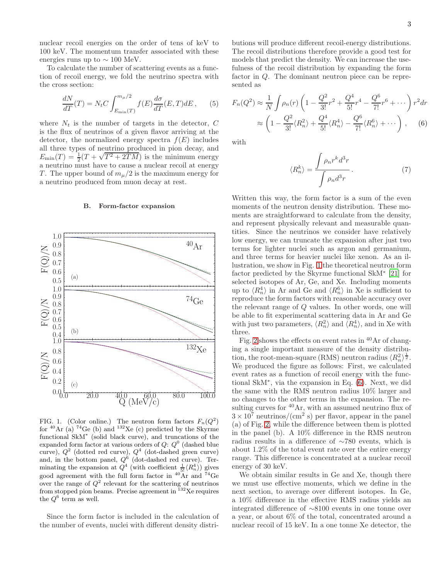nuclear recoil energies on the order of tens of keV to 100 keV. The momentum transfer associated with these energies runs up to  $\sim 100$  MeV.

To calculate the number of scattering events as a function of recoil energy, we fold the neutrino spectra with the cross section:

<span id="page-3-2"></span>
$$
\frac{dN}{dT}(T) = NtC \int_{E_{\min}(T)}^{m_{\mu}/2} f(E) \frac{d\sigma}{dT}(E, T) dE , \qquad (5)
$$

where  $N_t$  is the number of targets in the detector, C is the flux of neutrinos of a given flavor arriving at the detector, the normalized energy spectra  $f(E)$  includes all three types of neutrino produced in pion decay, and  $E_{\text{min}}(T) = \frac{1}{2}(T + \sqrt{T^2 + 2TM})$  is the minimum energy a neutrino must have to cause a nuclear recoil at energy T. The upper bound of  $m_\mu/2$  is the maximum energy for a neutrino produced from muon decay at rest.

#### B. Form-factor expansion



<span id="page-3-0"></span>FIG. 1. (Color online.) The neutron form factors  $F_n(Q^2)$ for  $40$ Ar (a)  $74$ Ge (b) and  $132$ Xe (c) predicted by the Skyrme functional SkM<sup>∗</sup> (solid black curve), and truncations of the expanded form factor at various orders of  $Q: Q^0$  (dashed blue curve),  $Q^2$  (dotted red curve),  $Q^4$  (dot-dashed green curve) and, in the bottom panel,  $Q^6$  (dot-dashed red curve). Terminating the expansion at  $Q^4$  (with coefficient  $\frac{1}{5!} \langle R_n^4 \rangle$ ) gives good agreement with the full form factor in  $^{40}$ Ar and  $^{74}$ Ge over the range of  $Q^2$  relevant for the scattering of neutrinos from stopped pion beams. Precise agreement in  $132$ Xe requires the  $Q^6$  term as well.

Since the form factor is included in the calculation of the number of events, nuclei with different density distri-

butions will produce different recoil-energy distributions. The recoil distributions therefore provide a good test for models that predict the density. We can increase the usefulness of the recoil distribution by expanding the form factor in Q. The dominant neutron piece can be represented as

<span id="page-3-1"></span>
$$
F_n(Q^2) \approx \frac{1}{N} \int \rho_n(r) \left( 1 - \frac{Q^2}{3!} r^2 + \frac{Q^4}{5!} r^4 - \frac{Q^6}{7!} r^6 + \cdots \right) r^2 dr
$$
  
 
$$
\approx \left( 1 - \frac{Q^2}{3!} \langle R_n^2 \rangle + \frac{Q^4}{5!} \langle R_n^4 \rangle - \frac{Q^6}{7!} \langle R_n^6 \rangle + \cdots \right), \quad (6)
$$

with

$$
\langle R_n^k \rangle = \frac{\int \rho_n r^k d^3r}{\int \rho_n d^3r}.
$$
 (7)

Written this way, the form factor is a sum of the even moments of the neutron density distribution. These moments are straightforward to calculate from the density, and represent physically relevant and measurable quantities. Since the neutrinos we consider have relatively low energy, we can truncate the expansion after just two terms for lighter nuclei such as argon and germanium, and three terms for heavier nuclei like xenon. As an illustration, we show in Fig. [1](#page-3-0) the theoretical neutron form factor predicted by the Skyrme functional SkM<sup>∗</sup> [\[21](#page-10-18)] for selected isotopes of Ar, Ge, and Xe. Including moments up to  $\langle R_n^4 \rangle$  in Ar and Ge and  $\langle R_n^6 \rangle$  in Xe is sufficient to reproduce the form factors with reasonable accuracy over the relevant range of Q values. In other words, one will be able to fit experimental scattering data in Ar and Ge with just two parameters,  $\langle R_n^2 \rangle$  and  $\langle R_n^4 \rangle$ , and in Xe with three.

Fig. [2](#page-4-0) shows the effects on event rates in  $40$  Ar of changing a single important measure of the density distribution, the root-mean-square (RMS) neutron radius  $\langle R_n^2 \rangle^{\frac{1}{2}}$ . We produced the figure as follows: First, we calculated event rates as a function of recoil energy with the functional SkM<sup>∗</sup> , via the expansion in Eq. [\(6\)](#page-3-1). Next, we did the same with the RMS neutron radius 10% larger and no changes to the other terms in the expansion. The resulting curves for <sup>40</sup>Ar, with an assumed neutrino flux of  $3 \times 10^7$  neutrinos/(cm<sup>2</sup> s) per flavor, appear in the panel (a) of Fig. [2,](#page-4-0) while the difference between them is plotted in the panel (b). A 10% difference in the RMS neutron radius results in a difference of ∼780 events, which is about 1.2% of the total event rate over the entire energy range. This difference is concentrated at a nuclear recoil energy of 30 keV.

We obtain similar results in Ge and Xe, though there we must use effective moments, which we define in the next section, to average over different isotopes. In Ge, a 10% difference in the effective RMS radius yields an integrated difference of ∼8100 events in one tonne over a year, or about 6% of the total, concentrated around a nuclear recoil of 15 keV. In a one tonne Xe detector, the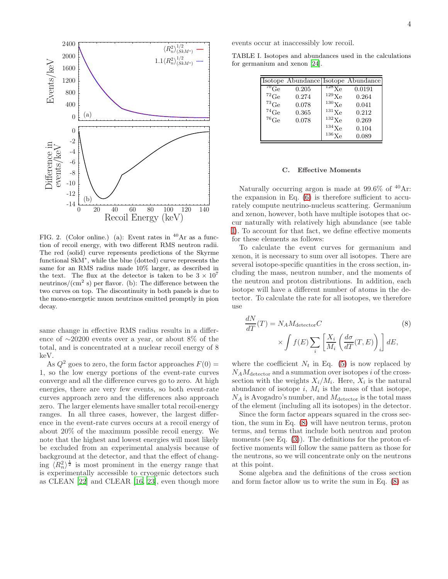

<span id="page-4-0"></span>FIG. 2. (Color online.) (a): Event rates in  $^{40}Ar$  as a function of recoil energy, with two different RMS neutron radii. The red (solid) curve represents predictions of the Skyrme functional SkM<sup>∗</sup> , while the blue (dotted) curve represents the same for an RMS radius made 10% larger, as described in the text. The flux at the detector is taken to be  $3 \times 10^7$ neutrinos/ $\rm (cm^2 \ s)$  per flavor. (b): The difference between the two curves on top. The discontinuity in both panels is due to the mono-energetic muon neutrinos emitted promptly in pion decay.

same change in effective RMS radius results in a difference of ∼20200 events over a year, or about 8% of the total, and is concentrated at a nuclear recoil energy of 8 keV.

As  $Q^2$  goes to zero, the form factor approaches  $F(0) =$ 1, so the low energy portions of the event-rate curves converge and all the difference curves go to zero. At high energies, there are very few events, so both event-rate curves approach zero and the differences also approach zero. The larger elements have smaller total recoil-energy ranges. In all three cases, however, the largest difference in the event-rate curves occurs at a recoil energy of about 20% of the maximum possible recoil energy. We note that the highest and lowest energies will most likely be excluded from an experimental analysis because of background at the detector, and that the effect of changing  $\langle R_n^2 \rangle^{\frac{1}{2}}$  is most prominent in the energy range that is experimentally accessible to cryogenic detectors such as CLEAN [\[22\]](#page-10-19) and CLEAR [\[16](#page-10-13), [23\]](#page-10-20), even though more events occur at inaccessibly low recoil.

TABLE I. Isotopes and abundances used in the calculations for germanium and xenon [\[24\]](#page-10-21).

<span id="page-4-1"></span>

|               | Isotope Abundance Isotope Abundance |                     |        |
|---------------|-------------------------------------|---------------------|--------|
| $70\text{Ge}$ | 0.205                               | $^{128}\text{Xe}$   | 0.0191 |
| ${}^{72}$ Ge  | 0.274                               | $^{129}\text{Xe}$   | 0.264  |
| ${}^{73}$ Ge  | 0.078                               | $^{130}\mathrm{Xe}$ | 0.041  |
| $^{74}$ Ge    | 0.365                               | $^{131}$ Xe         | 0.212  |
| $76$ Ge       | 0.078                               | $^{132}\mathrm{Xe}$ | 0.269  |
|               |                                     | $134\text{Xe}$      | 0.104  |
|               |                                     | $136\text{Xe}$      | 0.089  |

#### C. Effective Moments

Naturally occurring argon is made at  $99.6\%$  of  $^{40}Ar$ : the expansion in Eq.  $(6)$  is therefore sufficient to accurately compute neutrino-nucleus scattering. Germanium and xenon, however, both have multiple isotopes that occur naturally with relatively high abundance (see table [I\)](#page-4-1). To account for that fact, we define effective moments for these elements as follows:

To calculate the event curves for germanium and xenon, it is necessary to sum over all isotopes. There are several isotope-specific quantities in the cross section, including the mass, neutron number, and the moments of the neutron and proton distributions. In addition, each isotope will have a different number of atoms in the detector. To calculate the rate for all isotopes, we therefore use

<span id="page-4-2"></span>
$$
\frac{dN}{dT}(T) = N_A M_{\text{detector}} C \tag{8}
$$
\n
$$
\times \int f(E) \sum_{i} \left[ \frac{X_i}{M_i} \left( \frac{d\sigma}{dT}(T, E) \right)_i \right] dE,
$$

where the coefficient  $N_t$  in Eq. [\(5\)](#page-3-2) is now replaced by  $N_A M_{\text{detector}}$  and a summation over isotopes i of the crosssection with the weights  $X_i/M_i$ . Here,  $X_i$  is the natural abundance of isotope  $i$ ,  $M_i$  is the mass of that isotope,  $N_A$  is Avogadro's number, and  $M_{\text{detector}}$  is the total mass of the element (including all its isotopes) in the detector.

Since the form factor appears squared in the cross section, the sum in Eq. [\(8\)](#page-4-2) will have neutron terms, proton terms, and terms that include both neutron and proton moments (see Eq.  $(3)$ ). The definitions for the proton effective moments will follow the same pattern as those for the neutrons, so we will concentrate only on the neutrons at this point.

Some algebra and the definitions of the cross section and form factor allow us to write the sum in Eq. [\(8\)](#page-4-2) as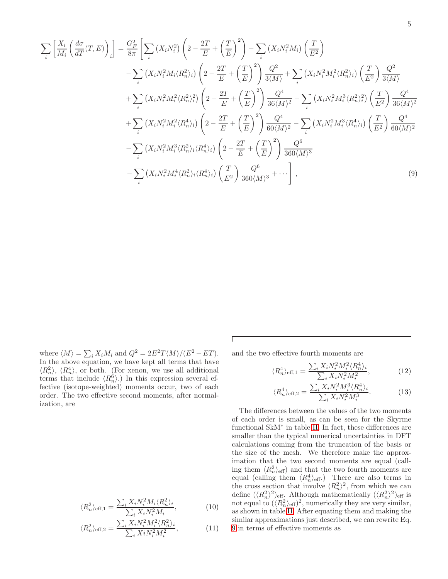<span id="page-5-0"></span>
$$
\sum_{i} \left[ \frac{X_{i}}{M_{i}} \left( \frac{d\sigma}{dT}(T,E) \right)_{i} \right] = \frac{G_{F}^{2}}{8\pi} \left[ \sum_{i} \left( X_{i}N_{i}^{2} \right) \left( 2 - \frac{2T}{E} + \left( \frac{T}{E} \right)^{2} \right) - \sum_{i} \left( X_{i}N_{i}^{2}M_{i} \right) \left( \frac{T}{E^{2}} \right) - \sum_{i} \left( X_{i}N_{i}^{2}M_{i}\langle R_{n}^{2} \rangle_{i} \right) \left( \frac{T}{E^{2}} \right) \frac{Q^{2}}{3\langle M \rangle} + \sum_{i} \left( X_{i}N_{i}^{2}M_{i}^{2}\langle R_{n}^{2} \rangle_{i} \right) \left( \frac{T}{E^{2}} \right) \frac{Q^{2}}{3\langle M \rangle} + \sum_{i} \left( X_{i}N_{i}^{2}M_{i}^{2}\langle R_{n}^{2} \rangle_{i} \right) \left( \frac{T}{E^{2}} \right) \frac{Q^{2}}{3\langle M \rangle} + \sum_{i} \left( X_{i}N_{i}^{2}M_{i}^{2}\langle R_{n}^{2} \rangle_{i} \right) \left( 2 - \frac{2T}{E} + \left( \frac{T}{E} \right)^{2} \right) \frac{Q^{4}}{36\langle M \rangle^{2}} - \sum_{i} \left( X_{i}N_{i}^{2}M_{i}^{3}\langle R_{n}^{2} \rangle_{i}^{2} \right) \left( \frac{T}{E^{2}} \right) \frac{Q^{4}}{36\langle M \rangle^{2}} + \sum_{i} \left( X_{i}N_{i}^{2}M_{i}^{2}\langle R_{n}^{4} \rangle_{i} \right) \left( 2 - \frac{2T}{E} + \left( \frac{T}{E} \right)^{2} \right) \frac{Q^{4}}{60\langle M \rangle^{2}} - \sum_{i} \left( X_{i}N_{i}^{2}M_{i}^{3}\langle R_{n}^{4} \rangle_{i} \right) \left( \frac{T}{E^{2}} \right) \frac{Q^{4}}{60\langle M \rangle^{2}} - \sum_{i} \left( X_{i}N_{i}^{2}M_{i}^{3}\langle R_{n}^{4} \rangle_{i} \right) \left( \
$$

 $\Gamma$ 

where  $\langle M \rangle = \sum_i X_i M_i$  and  $Q^2 = 2E^2 T \langle M \rangle / (E^2 - ET)$ . In the above equation, we have kept all terms that have  $\langle R_n^2 \rangle$ ,  $\langle R_n^4 \rangle$ , or both. (For xenon, we use all additional terms that include  $\langle R_n^6 \rangle$ .) In this expression several effective (isotope-weighted) moments occur, two of each order. The two effective second moments, after normalization, are

<span id="page-5-1"></span>
$$
\langle R_n^2 \rangle_{\text{eff},1} = \frac{\sum_i X_i N_i^2 M_i \langle R_n^2 \rangle_i}{\sum_i X_i N_i^2 M_i},\tag{10}
$$

$$
\langle R_n^2 \rangle_{\text{eff},2} = \frac{\sum_i X_i N_i^2 M_i^2 \langle R_n^2 \rangle_i}{\sum_i X_i N_i^2 M_i^2},\tag{11}
$$

and the two effective fourth moments are

<span id="page-5-2"></span>
$$
\langle R_n^4 \rangle_{\text{eff},1} = \frac{\sum_i X_i N_i^2 M_i^2 \langle R_n^4 \rangle_i}{\sum_i X_i N_i^2 M_i^2},\tag{12}
$$

$$
\langle R_n^4 \rangle_{\text{eff},2} = \frac{\sum_i X_i N_i^2 M_i^3 \langle R_n^4 \rangle_i}{\sum_i X_i N_i^2 M_i^3}.
$$
 (13)

The differences between the values of the two moments of each order is small, as can be seen for the Skyrme functional SkM<sup>∗</sup> in table [II.](#page-6-0) In fact, these differences are smaller than the typical numerical uncertainties in DFT calculations coming from the truncation of the basis or the size of the mesh. We therefore make the approximation that the two second moments are equal (calling them  $\langle R_n^2 \rangle_{\text{eff}}$  and that the two fourth moments are equal (calling them  $\langle R_n^4 \rangle_{\text{eff}}$ .) There are also terms in the cross section that involve  $\langle R_n^2 \rangle^2$ , from which we can define  $(\langle R_n^2 \rangle^2)_{\text{eff}}$ . Although mathematically  $(\langle R_n^2 \rangle^2)_{\text{eff}}$  is not equal to  $(\langle R_n^2 \rangle_{\text{eff}})^2$ , numerically they are very similar, as shown in table [II.](#page-6-0) After equating them and making the similar approximations just described, we can rewrite Eq. [9](#page-5-0) in terms of effective moments as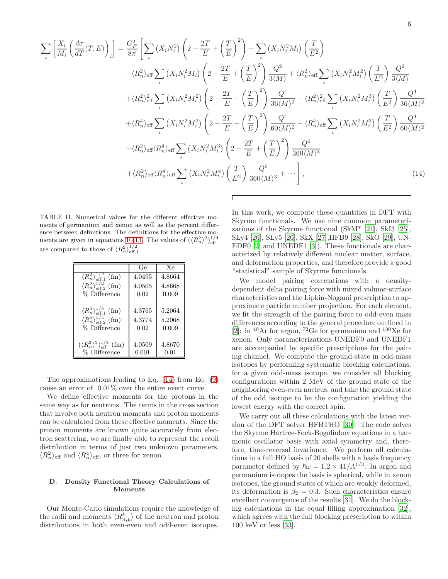<span id="page-6-1"></span>
$$
\sum_{i} \left[ \frac{X_{i}}{M_{i}} \left( \frac{d\sigma}{dT}(T,E) \right)_{i} \right] = \frac{G_{F}^{2}}{8\pi} \left[ \sum_{i} \left( X_{i}N_{i}^{2} \right) \left( 2 - \frac{2T}{E} + \left( \frac{T}{E} \right)^{2} \right) - \sum_{i} \left( X_{i}N_{i}^{2}M_{i} \right) \left( \frac{T}{E^{2}} \right) \right. \\
\left. - \left\langle R_{n}^{2} \right\rangle_{\text{eff}} \sum_{i} \left( X_{i}N_{i}^{2}M_{i} \right) \left( 2 - \frac{2T}{E} + \left( \frac{T}{E} \right)^{2} \right) \frac{Q^{2}}{3\langle M \rangle} + \left\langle R_{n}^{2} \right\rangle_{\text{eff}} \sum_{i} \left( X_{i}N_{i}^{2}M_{i}^{2} \right) \left( \frac{T}{E^{2}} \right) \frac{Q^{2}}{3\langle M \rangle} \right. \\
\left. + \left\langle R_{n}^{2} \right\rangle_{\text{eff}}^{2} \sum_{i} \left( X_{i}N_{i}^{2}M_{i}^{2} \right) \left( 2 - \frac{2T}{E} + \left( \frac{T}{E} \right)^{2} \right) \frac{Q^{4}}{36\langle M \rangle^{2}} - \left\langle R_{n}^{2} \right\rangle_{\text{eff}}^{2} \sum_{i} \left( X_{i}N_{i}^{2}M_{i}^{3} \right) \left( \frac{T}{E^{2}} \right) \frac{Q^{4}}{36\langle M \rangle^{2}} \right. \\
\left. + \left\langle R_{n}^{4} \right\rangle_{\text{eff}} \sum_{i} \left( X_{i}N_{i}^{2}M_{i}^{2} \right) \left( 2 - \frac{2T}{E} + \left( \frac{T}{E} \right)^{2} \right) \frac{Q^{4}}{60\langle M \rangle^{2}} - \left\langle R_{n}^{4} \right\rangle_{\text{eff}} \sum_{i} \left( X_{i}N_{i}^{2}M_{i}^{3} \right) \left( \frac{T}{E^{2}} \right) \frac{Q^{4}}{60\langle M \rangle^{2}} \right. \\
\left. - \left\langle R_{n}^{2} \right\rangle_{\text{eff
$$

Г

<span id="page-6-0"></span>TABLE II. Numerical values for the different effective moments of germanium and xenon as well as the percent difference between definitions. The definitions for the effective mo-ments are given in equations [10](#page-5-1)[-13.](#page-5-2) The values of  $({\langle R_n^2 \rangle}^2)_{\text{eff}}^{1/4}$ are compared to those of  $\langle R_n^2 \rangle_{\text{eff},1}^{1/2}$ .

|                                                                                                                        | Ge                       | Xe                        |
|------------------------------------------------------------------------------------------------------------------------|--------------------------|---------------------------|
| $\langle R_n^2 \rangle_{\text{eff},1}^{1/2}$ (fm)                                                                      | 4.0495                   | 4.8664                    |
| $\langle R_n^2 \rangle_{\text{eff.2}}^{1/2}$ (fm)                                                                      | 4.0505                   | 4.8668                    |
| % Difference                                                                                                           | 0.02                     | 0.009                     |
| $\langle R_n^4 \rangle_{\text{eff},1}^{1/4}$ (fm)<br>$\langle R_n^4 \rangle_{\text{eff},2}^{1/4}$ (fm)<br>% Difference | 4.3765<br>4.3774<br>0.02 | 5.2064<br>5.2068<br>0.009 |
| $({\langle R_n^2 \rangle}^2)^{1/4}_{\text{eff}}$ (fm)<br>% Difference                                                  | 4.0509<br>0.001          | 4.8670<br>0.01            |

The approximations leading to Eq. [\(14\)](#page-6-1) from Eq. [\(9\)](#page-5-0) cause an error of 0.01% over the entire event curve.

We define effective moments for the protons in the same way as for neutrons. The terms in the cross section that involve both neutron moments and proton moments can be calculated from these effective moments. Since the proton moments are known quite accurately from electron scattering, we are finally able to represent the recoil distribution in terms of just two unknown parameters,  $\langle R_n^2 \rangle_{\text{eff}}$  and  $\langle R_n^4 \rangle_{\text{eff}}$ , or three for xenon.

## D. Density Functional Theory Calculations of Moments

Our Monte-Carlo simulations require the knowledge of the radii and moments  $\langle R_{n,p}^k \rangle$  of the neutron and proton distributions in both even-even and odd-even isotopes.

In this work, we compute these quantities in DFT with Skyrme functionals. We use nine common parameterizations of the Skyrme functional (SkM\* [\[21\]](#page-10-18), SkI3 [\[25\]](#page-10-22), SLy4 [\[26\]](#page-10-23), SLy5 [\[26\]](#page-10-23), SkX [\[27\]](#page-10-24),HFB9 [\[28\]](#page-10-25), SkO [\[29](#page-10-26)], UN-EDF0 [\[2\]](#page-10-1) and UNEDF1 [\[3\]](#page-10-2)). These functionals are characterized by relatively different nuclear matter, surface, and deformation properties, and therefore provide a good "statistical" sample of Skyrme functionals.

We model pairing correlations with a densitydependent delta pairing force with mixed volume-surface characteristics and the Lipkin-Nogami prescription to approximate particle number projection. For each element, we fit the strength of the pairing force to odd-even mass differences according to the general procedure outlined in [\[2\]](#page-10-1): in  ${}^{40}\text{Ar}$  for argon,  ${}^{72}\text{Ge}$  for germanium and  ${}^{130}\text{Xe}$  for xenon. Only parameterizations UNEDF0 and UNEDF1 are accompanied by specific prescriptions for the pairing channel. We compute the ground-state in odd-mass isotopes by performing systematic blocking calculations: for a given odd-mass isotope, we consider all blocking configurations within 2 MeV of the ground state of the neighboring even-even nucleus, and take the ground state of the odd isotope to be the configuration yielding the lowest energy with the correct spin.

We carry out all these calculations with the latest version of the DFT solver HFBTHO [\[30](#page-10-27)]. The code solves the Skyrme Hartree-Fock-Bogoliubov equations in a harmonic oscillator basis with axial symmetry and, therefore, time-reversal invariance. We perform all calculations in a full HO basis of 20 shells with a basis frequency parameter defined by  $\hbar \omega = 1.2 \times 41/A^{1/3}$ . In argon and germanium isotopes the basis is spherical, while in xenon isotopes, the ground states of which are weakly deformed, its deformation is  $\beta_2 = 0.3$ . Such characteristics ensure excellent convergence of the results [\[31\]](#page-10-28). We do the blocking calculations in the equal filling approximation [\[32\]](#page-10-29), which agrees with the full blocking prescription to within 100 keV or less [\[33\]](#page-10-30).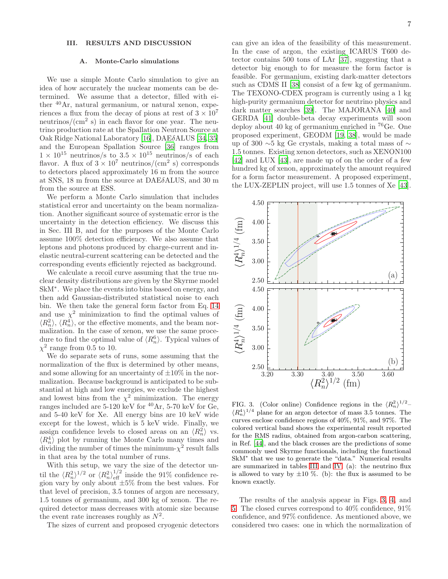# <span id="page-7-0"></span>III. RESULTS AND DISCUSSION

#### A. Monte-Carlo simulations

We use a simple Monte Carlo simulation to give an idea of how accurately the nuclear moments can be determined. We assume that a detector, filled with either <sup>40</sup>Ar, natural germanium, or natural xenon, experiences a flux from the decay of pions at rest of  $3 \times 10^7$ neutrinos/(cm<sup>2</sup> s) in each flavor for one year. The neutrino production rate at the Spallation Neutron Source at Oak Ridge National Laboratory [\[16](#page-10-13)], DAEδALUS [\[34](#page-10-31), [35](#page-10-32)] and the European Spallation Source [\[36\]](#page-10-33) ranges from  $1 \times 10^{15}$  neutrinos/s to  $3.5 \times 10^{15}$  neutrinos/s of each flavor. A flux of  $3 \times 10^7$  neutrinos/(cm<sup>2</sup> s) corresponds to detectors placed approximately 16 m from the source at SNS, 18 m from the source at DAEδALUS, and 30 m from the source at ESS.

We perform a Monte Carlo simulation that includes statistical error and uncertainty on the beam normalization. Another significant source of systematic error is the uncertainty in the detection efficiency. We discuss this in Sec. III B, and for the purposes of the Monte Carlo assume 100% detection efficiency. We also assume that leptons and photons produced by charge-current and inelastic neutral-current scattering can be detected and the corresponding events efficiently rejected as background.

We calculate a recoil curve assuming that the true nuclear density distributions are given by the Skyrme model SkM<sup>∗</sup> . We place the events into bins based on energy, and then add Gaussian-distributed statistical noise to each bin. We then take the general form factor from Eq. [14](#page-6-1) and use  $\chi^2$  minimization to find the optimal values of  $\langle R_n^2 \rangle$ ,  $\langle R_n^4 \rangle$ , or the effective moments, and the beam normalization. In the case of xenon, we use the same procedure to find the optimal value of  $\langle R_n^6 \rangle$ . Typical values of  $\chi^2$  range from 0.5 to 10.

We do separate sets of runs, some assuming that the normalization of the flux is determined by other means, and some allowing for an uncertainty of  $\pm 10\%$  in the normalization. Because background is anticipated to be substantial at high and low energies, we exclude the highest and lowest bins from the  $\chi^2$  minimization. The energy ranges included are 5-120 keV for  $^{40}\text{Ar}$ , 5-70 keV for Ge, and 5-40 keV for Xe. All energy bins are 10 keV wide except for the lowest, which is 5 keV wide. Finally, we assign confidence levels to closed areas on an  $\langle R_n^2 \rangle$  vs.  $\langle R_n^4 \rangle$  plot by running the Monte Carlo many times and dividing the number of times the minimum- $\chi^2$  result falls in that area by the total number of runs.

With this setup, we vary the size of the detector until the  $\langle R_n^2 \rangle^{1/2}$  or  $\langle R_n^2 \rangle_{\text{eff}}^{1/2}$  inside the 91% confidence region vary by only about  $\pm 5\%$  from the best values. For that level of precision, 3.5 tonnes of argon are necessary, 1.5 tonnes of germanium, and 300 kg of xenon. The required detector mass decreases with atomic size because the event rate increases roughly as  $N^2$ .

The sizes of current and proposed cryogenic detectors

can give an idea of the feasibility of this measurement. In the case of argon, the existing ICARUS T600 detector contains 500 tons of LAr [\[37](#page-10-34)], suggesting that a detector big enough to for measure the form factor is feasible. For germanium, existing dark-matter detectors such as CDMS II [\[38\]](#page-10-35) consist of a few kg of germanium. The TEXONO-CDEX program is currently using a 1 kg high-purity germanium detector for neutrino physics and dark matter searches [\[39\]](#page-10-36). The MAJORANA [\[40\]](#page-10-37) and GERDA [\[41\]](#page-10-38) double-beta decay experiments will soon deploy about 40 kg of germanium enriched in <sup>76</sup>Ge. One proposed experiment, GEODM [\[19](#page-10-16), [38](#page-10-35)], would be made up of 300 ∼5 kg Ge crystals, making a total mass of ∼ 1.5 tonnes. Existing xenon detectors, such as XENON100 [\[42\]](#page-10-39) and LUX [\[43\]](#page-10-40), are made up of on the order of a few hundred kg of xenon, approximately the amount required for a form factor measurement. A proposed experiment, the LUX-ZEPLIN project, will use 1.5 tonnes of Xe [\[43\]](#page-10-40).



<span id="page-7-1"></span>FIG. 3. (Color online) Confidence regions in the  $\langle R_n^2 \rangle^{1/2}$ - $\langle R_n^4 \rangle^{1/4}$  plane for an argon detector of mass 3.5 tonnes. The curves enclose confidence regions of 40%, 91%, and 97%. The colored vertical band shows the experimental result reported for the RMS radius, obtained from argon-carbon scattering, in Ref. [\[44](#page-10-41)], and the black crosses are the predictions of some commonly used Skyrme functionals, including the functional SkM<sup>∗</sup> that we use to generate the "data." Numerical results are summarized in tables [III](#page-9-0) and [IV.](#page-9-1) (a): the neutrino flux is allowed to vary by  $\pm 10$  %. (b): the flux is assumed to be known exactly.

The results of the analysis appear in Figs. [3,](#page-7-1) [4,](#page-8-0) and [5.](#page-8-1) The closed curves correspond to 40% confidence, 91% confidence, and 97% confidence. As mentioned above, we considered two cases: one in which the normalization of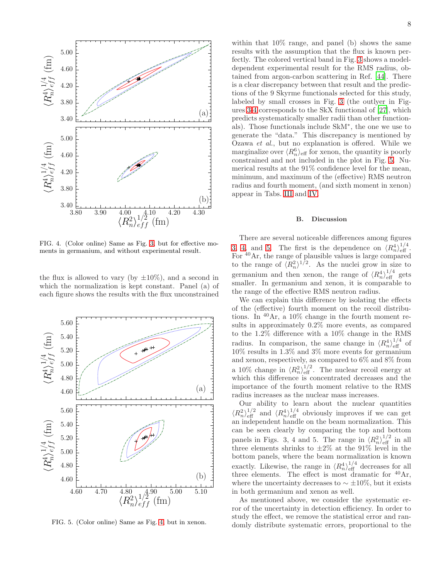

<span id="page-8-0"></span>FIG. 4. (Color online) Same as Fig. [3,](#page-7-1) but for effective moments in germanium, and without experimental result.

the flux is allowed to vary (by  $\pm 10\%$ ), and a second in which the normalization is kept constant. Panel (a) of each figure shows the results with the flux unconstrained



<span id="page-8-1"></span>FIG. 5. (Color online) Same as Fig. [4,](#page-8-0) but in xenon.

within that 10% range, and panel (b) shows the same results with the assumption that the flux is known perfectly. The colored vertical band in Fig. [3](#page-7-1) shows a modeldependent experimental result for the RMS radius, obtained from argon-carbon scattering in Ref. [\[44](#page-10-41)]. There is a clear discrepancy between that result and the predictions of the 9 Skyrme functionals selected for this study, labeled by small crosses in Fig. [3](#page-7-1) (the outlyer in Figures [3-](#page-7-1)[4](#page-8-0) corresponds to the SkX functional of [\[27](#page-10-24)], which predicts systematically smaller radii than other functionals). Those functionals include SkM<sup>∗</sup> , the one we use to generate the "data." This discrepancy is mentioned by Ozawa et al., but no explanation is offered. While we marginalize over  $\langle R_n^6 \rangle$  of for xenon, the quantity is poorly constrained and not included in the plot in Fig. [5.](#page-8-1) Numerical results at the 91% confidence level for the mean, minimum, and maximum of the (effective) RMS neutron radius and fourth moment, (and sixth moment in xenon) appear in Tabs. [III](#page-9-0) and [IV.](#page-9-1)

#### B. Discussion

There are several noticeable differences among figures [3,](#page-7-1) [4,](#page-8-0) and [5.](#page-8-1) The first is the dependence on  $\langle R_n^4 \rangle_{\text{eff}}^{1/4}$ . For  $^{40}$ Ar, the range of plausible values is large compared to the range of  $\langle R_n^2 \rangle^{1/2}$ . As the nuclei grow in size to germanium and then xenon, the range of  $\langle R_n^4 \rangle_{\text{eff}}^{1/4}$  gets smaller. In germanium and xenon, it is comparable to the range of the effective RMS neutron radius.

We can explain this difference by isolating the effects of the (effective) fourth moment on the recoil distributions. In <sup>40</sup>Ar, a 10% change in the fourth moment results in approximately 0.2% more events, as compared to the 1.2% difference with a 10% change in the RMS radius. In comparison, the same change in  $\langle R_n^4 \rangle_{\text{eff}}^{1/4}$  of 10% results in 1.3% and 3% more events for germanium and xenon, respectively, as compared to  $6\%$  and  $8\%$  from a 10% change in  $\langle R_n^2 \rangle_{\text{eff}}^{1/2}$ . The nuclear recoil energy at which this difference is concentrated decreases and the importance of the fourth moment relative to the RMS radius increases as the nuclear mass increases.

Our ability to learn about the nuclear quantities  $\langle R_n^2 \rangle_{\text{eff}}^{1/2}$  and  $\langle R_n^4 \rangle_{\text{eff}}^{1/4}$  obviously improves if we can get an independent handle on the beam normalization. This can be seen clearly by comparing the top and bottom panels in Figs. 3, 4 and 5. The range in  $\langle R_n^2 \rangle_{\text{eff}}^{1/2}$  in all three elements shrinks to  $\pm 2\%$  at the 91% level in the bottom panels, where the beam normalization is known exactly. Likewise, the range in  $\langle R_n^4 \rangle_{\text{eff}}^{1/4}$  decreases for all three elements. The effect is most dramatic for  $40 \text{Ar}$ , where the uncertainty decreases to  $\sim \pm 10\%$ , but it exists in both germanium and xenon as well.

As mentioned above, we consider the systematic error of the uncertainty in detection efficiency. In order to study the effect, we remove the statistical error and randomly distribute systematic errors, proportional to the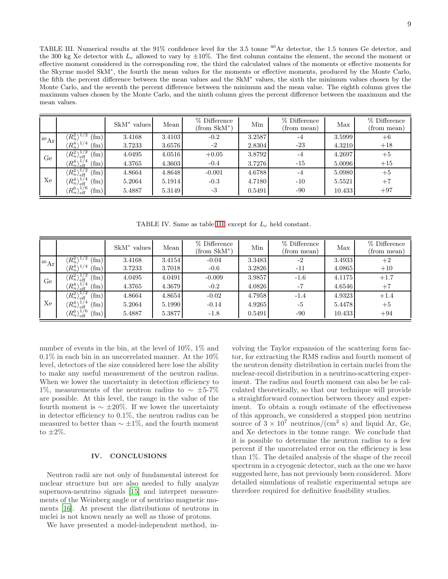<span id="page-9-0"></span>TABLE III. Numerical results at the 91% confidence level for the 3.5 tonne <sup>40</sup>Ar detector, the 1.5 tonnes Ge detector, and the 300 kg Xe detector with  $L_{\nu}$  allowed to vary by  $\pm 10\%$ . The first column contains the element, the second the moment or effective moment considered in the corresponding row, the third the calculated values of the moments or effective moments for the Skyrme model SkM<sup>∗</sup> , the fourth the mean values for the moments or effective moments, produced by the Monte Carlo, the fifth the percent difference between the mean values and the SkM<sup>∗</sup> values, the sixth the minimum values chosen by the Monte Carlo, and the seventh the percent difference between the minimum and the mean value. The eighth column gives the maximum values chosen by the Monte Carlo, and the ninth column gives the percent difference between the maximum and the mean values.

|                      |                                                                 | $SkM^*$ values | Mean   | % Difference<br>$(from SkM^*)$ | Min    | % Difference<br>(from mean) | Max    | % Difference<br>(from mean) |
|----------------------|-----------------------------------------------------------------|----------------|--------|--------------------------------|--------|-----------------------------|--------|-----------------------------|
| ${}^{40}\mathrm{Ar}$ | $\langle R_n^2\rangle$<br>$\text{fm}$ )                         | 3.4168         | 3.4103 | $-0.2$                         | 3.2587 | $-4$                        | 3.5999 | $+6$                        |
|                      | $\langle R_n^4 \rangle^{1/4}$<br>$\text{fm}$ )                  | 3.7233         | 3.6576 | $-2$                           | 2.8304 | $-23$                       | 4.3210 | $+18$                       |
| Ge                   | $\langle R_n^2 \rangle_{\text{eff}}^{1/2}$<br>(f <sub>m</sub> ) | 4.0495         | 4.0516 | $+0.05$                        | 3.8792 | $-4$                        | 4.2697 | $+5$                        |
|                      | $\langle R_n^4 \rangle_{\text{eff}}^{1/4}$<br>$\text{fm}$ )     | 4.3765         | 4.3603 | $-0.4$                         | 3.7276 | $-15$                       | 5.0096 | $+15$                       |
|                      | $\langle R_n^2 \rangle_{\text{eff}}^{1/2}$<br>(f <sub>m</sub> ) | 4.8664         | 4.8648 | $-0.001$                       | 4.6788 | $-4$                        | 5.0980 | $+5$                        |
| Xe                   | $\langle R_n^4 \rangle_{\text{eff}}^{1/4}$<br>$\text{fm}$ )     | 5.2064         | 5.1914 | $-0.3$                         | 4.7180 | $-10$                       | 5.5521 | $+7$                        |
|                      | $\langle R_n^6 \rangle_{\text{eff}}^{1/6}$<br>$\text{fm}$ )     | 5.4887         | 5.3149 | -3                             | 0.5491 | $-90$                       | 10.433 | $+97$                       |

<span id="page-9-1"></span>TABLE IV. Same as table [III,](#page-9-0) except for  $L_{\nu}$  held constant.

|                    |                                                                 | $\text{SkM}^*$ values | Mean   | % Difference<br>$(from SkM^*)$ | Min    | % Difference<br>(from mean) | Max    | % Difference<br>(from mean) |
|--------------------|-----------------------------------------------------------------|-----------------------|--------|--------------------------------|--------|-----------------------------|--------|-----------------------------|
| $^{40}\mathrm{Ar}$ | $R_n^2$<br>$f_{\rm m}$ )                                        | 3.4168                | 3.4154 | $-0.04$                        | 3.3483 | $-2$                        | 3.4933 | $+2$                        |
|                    | $\langle R_n^4 \rangle^{1/4}$<br>$(\text{fm})$                  | 3.7233                | 3.7018 | $-0.6$                         | 3.2826 | $-11$                       | 4.0865 | $+10$                       |
| Ge                 | $\langle R_n^2 \rangle_{\text{eff}}^{1/2}$<br>(f <sub>m</sub> ) | 4.0495                | 4.0491 | $-0.009$                       | 3.9857 | $-1.6$                      | 4.1175 | $+1.7$                      |
|                    | $\langle R_n^4 \rangle_{\text{eff}}^{1/4}$<br>fm)               | 4.3765                | 4.3679 | $-0.2$                         | 4.0826 | $-7$                        | 4.6546 | $+7$                        |
| Xe                 | $\langle R_n^2 \rangle_{\text{eff}}^{1/2}$<br>(f <sub>m</sub> ) | 4.8664                | 4.8654 | $-0.02$                        | 4.7958 | $-1.4$                      | 4.9323 | $+1.4$                      |
|                    | $\langle R_n^4 \rangle_{\text{eff}}^{1/4}$<br>$\text{fm}$ )     | 5.2064                | 5.1990 | $-0.14$                        | 4.9265 | $-5$                        | 5.4478 | $+5$                        |
|                    | $\langle R_n^6 \rangle_{\text{eff}}^{1/6}$<br>(f <sub>m</sub> ) | 5.4887                | 5.3877 | $-1.8$                         | 0.5491 | $-90$                       | 10.433 | $+94$                       |

number of events in the bin, at the level of 10%, 1% and  $0.1\%$  in each bin in an uncorrelated manner. At the  $10\%$ level, detectors of the size considered here lose the ability to make any useful measurement of the neutron radius. When we lower the uncertainty in detection efficiency to 1%, measurements of the neutron radius to  $\sim$  ±5-7% are possible. At this level, the range in the value of the fourth moment is  $\sim \pm 20\%$ . If we lower the uncertainty in detector efficiency to 0.1%, the neutron radius can be measured to better than  $\sim \pm 1\%$ , and the fourth moment to  $\pm 2\%$ .

#### IV. CONCLUSIONS

Neutron radii are not only of fundamental interest for nuclear structure but are also needed to fully analyze supernova-neutrino signals [\[15\]](#page-10-12) and interpret measurements of the Weinberg angle or of neutrino magnetic moments [\[16\]](#page-10-13). At present the distributions of neutrons in nuclei is not known nearly as well as those of protons.

We have presented a model-independent method, in-

volving the Taylor expansion of the scattering form factor, for extracting the RMS radius and fourth moment of the neutron density distribution in certain nuclei from the nuclear-recoil distribution in a neutrino-scattering experiment. The radius and fourth moment can also be be calculated theoretically, so that our technique will provide a straightforward connection between theory and experiment. To obtain a rough estimate of the effectiveness of this approach, we considered a stopped pion neutrino source of  $3 \times 10^7$  neutrinos/(cm<sup>2</sup> s) and liquid Ar, Ge, and Xe detectors in the tonne range. We conclude that it is possible to determine the neutron radius to a few percent if the uncorrelated error on the efficiency is less than 1%. The detailed analysis of the shape of the recoil spectrum in a cryogenic detector, such as the one we have suggested here, has not previously been considered. More detailed simulations of realistic experimental setups are therefore required for definitive feasibility studies.